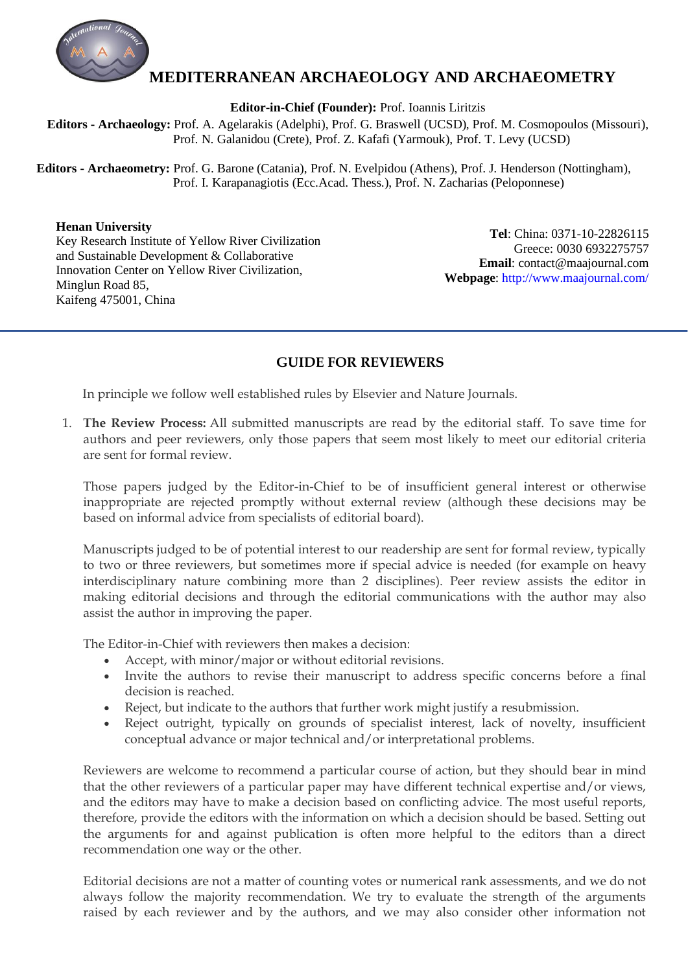

## **MEDITERRANEAN ARCHAEOLOGY AND ARCHAEOMETRY**

**Editor-in-Chief (Founder):** Prof. Ioannis Liritzis

 **Editors - Archaeology:** Prof. A. Agelarakis (Adelphi), Prof. G. Braswell (UCSD), Prof. M. Cosmopoulos (Missouri), Prof. N. Galanidou (Crete), Prof. Z. Kafafi (Yarmouk), Prof. T. Levy (UCSD)

 **Editors - Archaeometry:** Prof. G. Barone (Catania), Prof. N. Evelpidou (Athens), Prof. J. Henderson (Nottingham), Prof. I. Karapanagiotis (Ecc.Acad. Thess.), Prof. N. Zacharias (Peloponnese)

## **Henan University**

Key Research Institute of Yellow River Civilization and Sustainable Development & Collaborative Innovation Center on Yellow River Civilization, Minglun Road 85, Kaifeng 475001, China

**Tel**: China: 0371-10-22826115 Greece: 0030 6932275757  **Email**: contact@maajournal.com **Webpage**:<http://www.maajournal.com/>

## **GUIDE FOR REVIEWERS**

In principle we follow well established rules by Elsevier and Nature Journals.

1. **The Review Process:** All submitted manuscripts are read by the editorial staff. To save time for authors and peer reviewers, only those papers that seem most likely to meet our editorial criteria are sent for formal review.

Those papers judged by the Editor-in-Chief to be of insufficient general interest or otherwise inappropriate are rejected promptly without external review (although these decisions may be based on informal advice from specialists of editorial board).

Manuscripts judged to be of potential interest to our readership are sent for formal review, typically to two or three reviewers, but sometimes more if special advice is needed (for example on heavy interdisciplinary nature combining more than 2 disciplines). Peer review assists the editor in making editorial decisions and through the editorial communications with the author may also assist the author in improving the paper.

The Editor-in-Chief with reviewers then makes a decision:

- Accept, with minor/major or without editorial revisions.
- Invite the authors to revise their manuscript to address specific concerns before a final decision is reached.
- Reject, but indicate to the authors that further work might justify a resubmission.
- Reject outright, typically on grounds of specialist interest, lack of novelty, insufficient conceptual advance or major technical and/or interpretational problems.

Reviewers are welcome to recommend a particular course of action, but they should bear in mind that the other reviewers of a particular paper may have different technical expertise and/or views, and the editors may have to make a decision based on conflicting advice. The most useful reports, therefore, provide the editors with the information on which a decision should be based. Setting out the arguments for and against publication is often more helpful to the editors than a direct recommendation one way or the other.

Editorial decisions are not a matter of counting votes or numerical rank assessments, and we do not always follow the majority recommendation. We try to evaluate the strength of the arguments raised by each reviewer and by the authors, and we may also consider other information not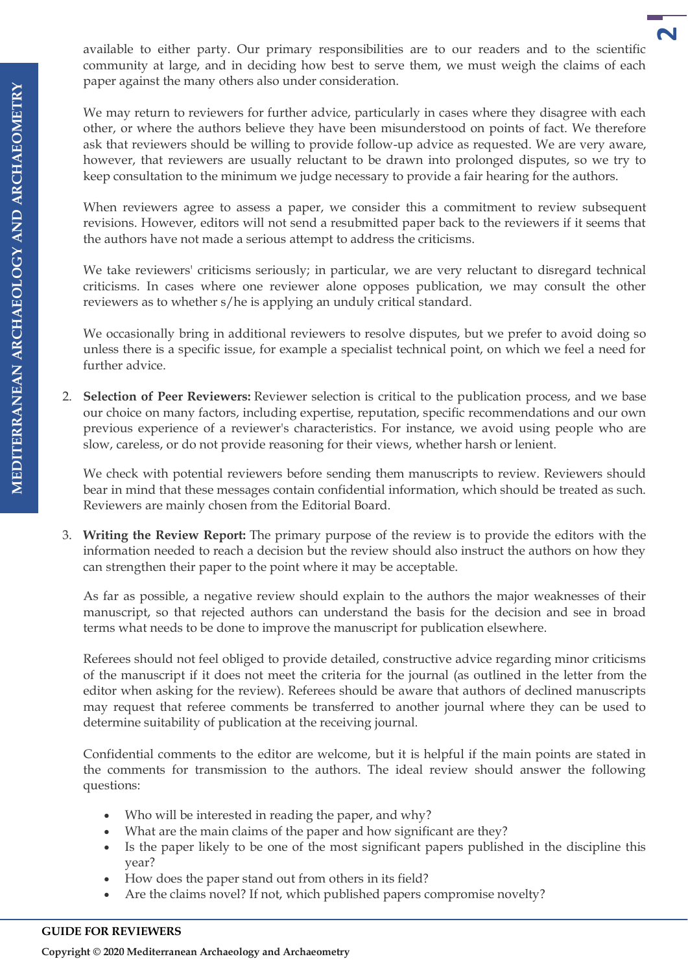available to either party. Our primary responsibilities are to our readers and to the scientific community at large, and in deciding how best to serve them, we must weigh the claims of each paper against the many others also under consideration.

**2**

We may return to reviewers for further advice, particularly in cases where they disagree with each other, or where the authors believe they have been misunderstood on points of fact. We therefore ask that reviewers should be willing to provide follow-up advice as requested. We are very aware, however, that reviewers are usually reluctant to be drawn into prolonged disputes, so we try to keep consultation to the minimum we judge necessary to provide a fair hearing for the authors.

When reviewers agree to assess a paper, we consider this a commitment to review subsequent revisions. However, editors will not send a resubmitted paper back to the reviewers if it seems that the authors have not made a serious attempt to address the criticisms.

We take reviewers' criticisms seriously; in particular, we are very reluctant to disregard technical criticisms. In cases where one reviewer alone opposes publication, we may consult the other reviewers as to whether s/he is applying an unduly critical standard.

We occasionally bring in additional reviewers to resolve disputes, but we prefer to avoid doing so unless there is a specific issue, for example a specialist technical point, on which we feel a need for further advice.

2. **Selection of Peer Reviewers:** Reviewer selection is critical to the publication process, and we base our choice on many factors, including expertise, reputation, specific recommendations and our own previous experience of a reviewer's characteristics. For instance, we avoid using people who are slow, careless, or do not provide reasoning for their views, whether harsh or lenient.

We check with potential reviewers before sending them manuscripts to review. Reviewers should bear in mind that these messages contain confidential information, which should be treated as such. Reviewers are mainly chosen from the Editorial Board.

3. **Writing the Review Report:** The primary purpose of the review is to provide the editors with the information needed to reach a decision but the review should also instruct the authors on how they can strengthen their paper to the point where it may be acceptable.

As far as possible, a negative review should explain to the authors the major weaknesses of their manuscript, so that rejected authors can understand the basis for the decision and see in broad terms what needs to be done to improve the manuscript for publication elsewhere.

Referees should not feel obliged to provide detailed, constructive advice regarding minor criticisms of the manuscript if it does not meet the criteria for the journal (as outlined in the letter from the editor when asking for the review). Referees should be aware that authors of declined manuscripts may request that referee comments be transferred to another journal where they can be used to determine suitability of publication at the receiving journal.

Confidential comments to the editor are welcome, but it is helpful if the main points are stated in the comments for transmission to the authors. The ideal review should answer the following questions:

- Who will be interested in reading the paper, and why?
- What are the main claims of the paper and how significant are they?
- Is the paper likely to be one of the most significant papers published in the discipline this year?
- How does the paper stand out from others in its field?
- Are the claims novel? If not, which published papers compromise novelty?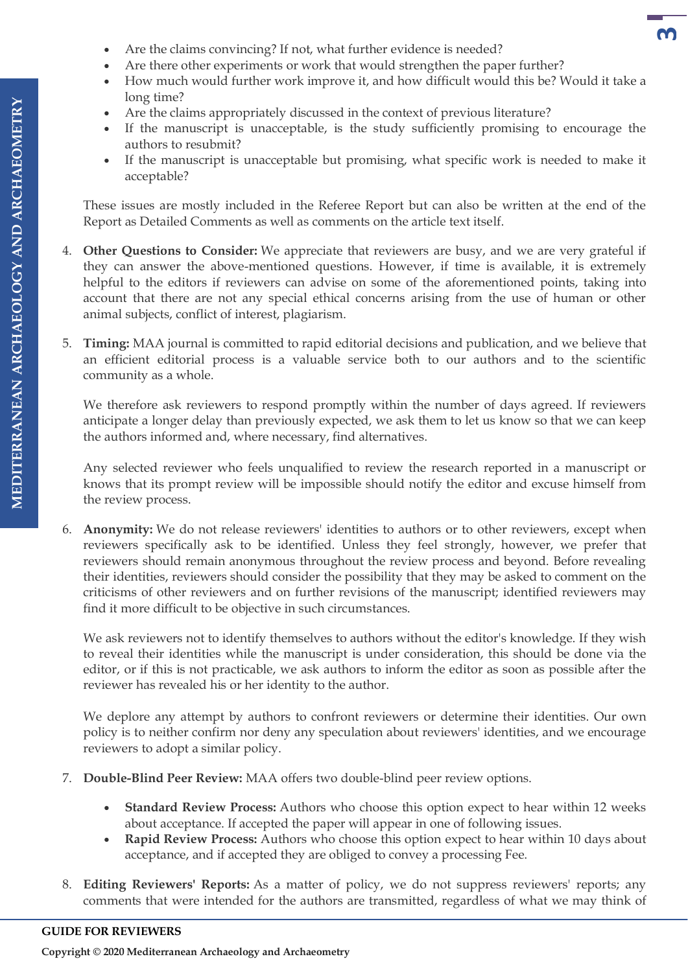- Are the claims convincing? If not, what further evidence is needed?
- Are there other experiments or work that would strengthen the paper further?
- How much would further work improve it, and how difficult would this be? Would it take a long time?

**3** 

- Are the claims appropriately discussed in the context of previous literature?
- If the manuscript is unacceptable, is the study sufficiently promising to encourage the authors to resubmit?
- If the manuscript is unacceptable but promising, what specific work is needed to make it acceptable?

These issues are mostly included in the Referee Report but can also be written at the end of the Report as Detailed Comments as well as comments on the article text itself.

- 4. **Other Questions to Consider:** We appreciate that reviewers are busy, and we are very grateful if they can answer the above-mentioned questions. However, if time is available, it is extremely helpful to the editors if reviewers can advise on some of the aforementioned points, taking into account that there are not any special ethical concerns arising from the use of human or other animal subjects, conflict of interest, plagiarism.
- 5. **Timing:** MAA journal is committed to rapid editorial decisions and publication, and we believe that an efficient editorial process is a valuable service both to our authors and to the scientific community as a whole.

We therefore ask reviewers to respond promptly within the number of days agreed. If reviewers anticipate a longer delay than previously expected, we ask them to let us know so that we can keep the authors informed and, where necessary, find alternatives.

Any selected reviewer who feels unqualified to review the research reported in a manuscript or knows that its prompt review will be impossible should notify the editor and excuse himself from the review process.

6. **Anonymity:** We do not release reviewers' identities to authors or to other reviewers, except when reviewers specifically ask to be identified. Unless they feel strongly, however, we prefer that reviewers should remain anonymous throughout the review process and beyond. Before revealing their identities, reviewers should consider the possibility that they may be asked to comment on the criticisms of other reviewers and on further revisions of the manuscript; identified reviewers may find it more difficult to be objective in such circumstances.

We ask reviewers not to identify themselves to authors without the editor's knowledge. If they wish to reveal their identities while the manuscript is under consideration, this should be done via the editor, or if this is not practicable, we ask authors to inform the editor as soon as possible after the reviewer has revealed his or her identity to the author.

We deplore any attempt by authors to confront reviewers or determine their identities. Our own policy is to neither confirm nor deny any speculation about reviewers' identities, and we encourage reviewers to adopt a similar policy.

- 7. **Double-Blind Peer Review:** MAA offers two double-blind peer review options.
	- **Standard Review Process:** Authors who choose this option expect to hear within 12 weeks about acceptance. If accepted the paper will appear in one of following issues.
	- **Rapid Review Process:** Authors who choose this option expect to hear within 10 days about acceptance, and if accepted they are obliged to convey a processing Fee.
- 8. **Editing Reviewers' Reports:** As a matter of policy, we do not suppress reviewers' reports; any comments that were intended for the authors are transmitted, regardless of what we may think of

**Copyright © 2020 Mediterranean Archaeology and Archaeometry**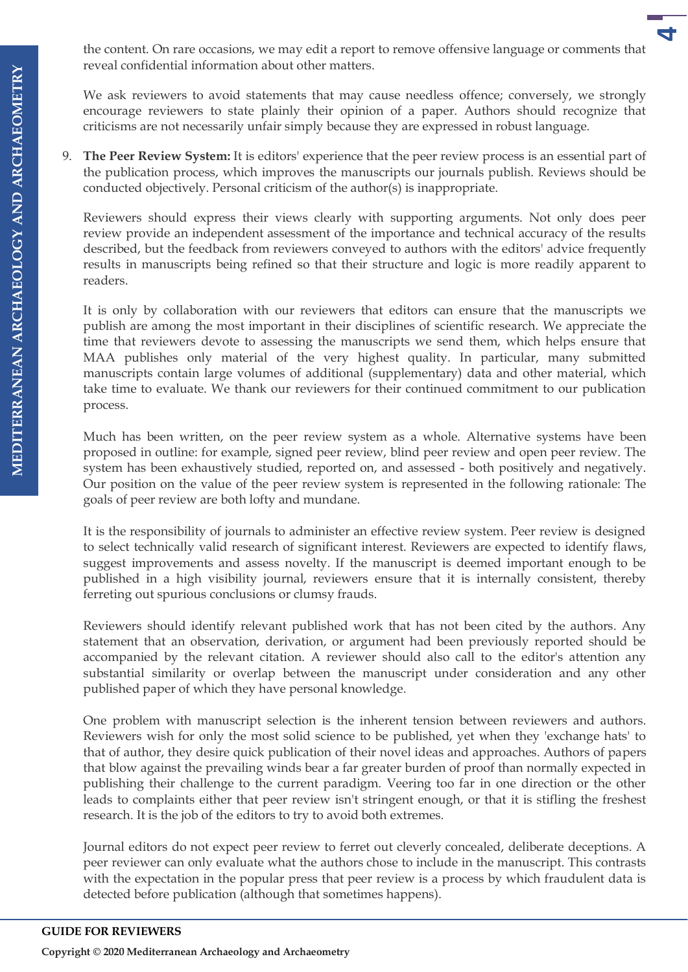the content. On rare occasions, we may edit a report to remove offensive language or comments that reveal confidential information about other matters.

**4**

We ask reviewers to avoid statements that may cause needless offence; conversely, we strongly encourage reviewers to state plainly their opinion of a paper. Authors should recognize that criticisms are not necessarily unfair simply because they are expressed in robust language.

9. **The Peer Review System:** It is editors' experience that the peer review process is an essential part of the publication process, which improves the manuscripts our journals publish. Reviews should be conducted objectively. Personal criticism of the author(s) is inappropriate.

Reviewers should express their views clearly with supporting arguments. Not only does peer review provide an independent assessment of the importance and technical accuracy of the results described, but the feedback from reviewers conveyed to authors with the editors' advice frequently results in manuscripts being refined so that their structure and logic is more readily apparent to readers.

It is only by collaboration with our reviewers that editors can ensure that the manuscripts we publish are among the most important in their disciplines of scientific research. We appreciate the time that reviewers devote to assessing the manuscripts we send them, which helps ensure that MAA publishes only material of the very highest quality. In particular, many submitted manuscripts contain large volumes of additional (supplementary) data and other material, which take time to evaluate. We thank our reviewers for their continued commitment to our publication process.

Much has been written, on the peer review system as a whole. Alternative systems have been proposed in outline: for example, signed peer review, blind peer review and open peer review. The system has been exhaustively studied, reported on, and assessed - both positively and negatively. Our position on the value of the peer review system is represented in the following rationale: The goals of peer review are both lofty and mundane.

It is the responsibility of journals to administer an effective review system. Peer review is designed to select technically valid research of significant interest. Reviewers are expected to identify flaws, suggest improvements and assess novelty. If the manuscript is deemed important enough to be published in a high visibility journal, reviewers ensure that it is internally consistent, thereby ferreting out spurious conclusions or clumsy frauds.

Reviewers should identify relevant published work that has not been cited by the authors. Any statement that an observation, derivation, or argument had been previously reported should be accompanied by the relevant citation. A reviewer should also call to the editor's attention any substantial similarity or overlap between the manuscript under consideration and any other published paper of which they have personal knowledge.

One problem with manuscript selection is the inherent tension between reviewers and authors. Reviewers wish for only the most solid science to be published, yet when they 'exchange hats' to that of author, they desire quick publication of their novel ideas and approaches. Authors of papers that blow against the prevailing winds bear a far greater burden of proof than normally expected in publishing their challenge to the current paradigm. Veering too far in one direction or the other leads to complaints either that peer review isn't stringent enough, or that it is stifling the freshest research. It is the job of the editors to try to avoid both extremes.

Journal editors do not expect peer review to ferret out cleverly concealed, deliberate deceptions. A peer reviewer can only evaluate what the authors chose to include in the manuscript. This contrasts with the expectation in the popular press that peer review is a process by which fraudulent data is detected before publication (although that sometimes happens).